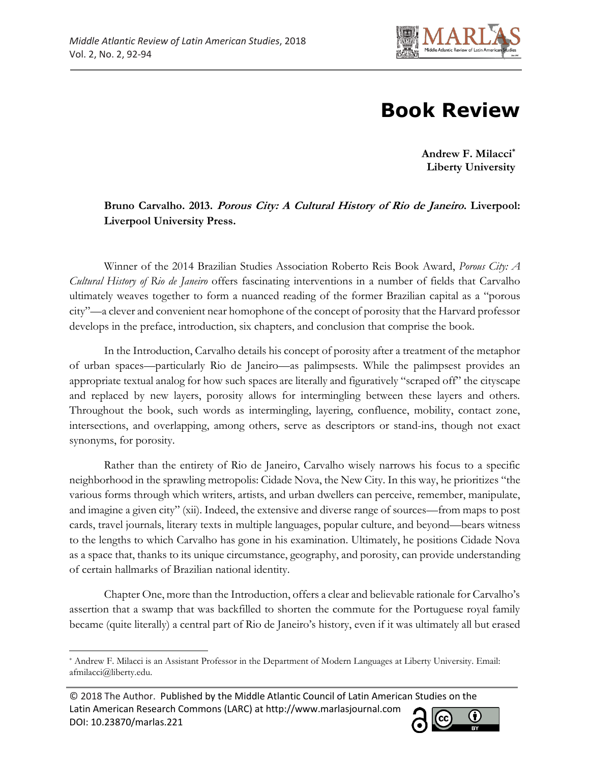

## **Book Review**

**Andrew F. Milacci\* Liberty University**

## **Bruno Carvalho. 2013. Porous City: A Cultural History of Rio de Janeiro. Liverpool: Liverpool University Press.**

Winner of the 2014 Brazilian Studies Association Roberto Reis Book Award, *Porous City: A Cultural History of Rio de Janeiro* offers fascinating interventions in a number of fields that Carvalho ultimately weaves together to form a nuanced reading of the former Brazilian capital as a "porous city"—a clever and convenient near homophone of the concept of porosity that the Harvard professor develops in the preface, introduction, six chapters, and conclusion that comprise the book.

In the Introduction, Carvalho details his concept of porosity after a treatment of the metaphor of urban spaces—particularly Rio de Janeiro—as palimpsests. While the palimpsest provides an appropriate textual analog for how such spaces are literally and figuratively "scraped off" the cityscape and replaced by new layers, porosity allows for intermingling between these layers and others. Throughout the book, such words as intermingling, layering, confluence, mobility, contact zone, intersections, and overlapping, among others, serve as descriptors or stand-ins, though not exact synonyms, for porosity.

Rather than the entirety of Rio de Janeiro, Carvalho wisely narrows his focus to a specific neighborhood in the sprawling metropolis: Cidade Nova, the New City. In this way, he prioritizes "the various forms through which writers, artists, and urban dwellers can perceive, remember, manipulate, and imagine a given city" (xii). Indeed, the extensive and diverse range of sources—from maps to post cards, travel journals, literary texts in multiple languages, popular culture, and beyond—bears witness to the lengths to which Carvalho has gone in his examination. Ultimately, he positions Cidade Nova as a space that, thanks to its unique circumstance, geography, and porosity, can provide understanding of certain hallmarks of Brazilian national identity.

Chapter One, more than the Introduction, offers a clear and believable rationale for Carvalho's assertion that a swamp that was backfilled to shorten the commute for the Portuguese royal family became (quite literally) a central part of Rio de Janeiro's history, even if it was ultimately all but erased

<sup>© 2018</sup> The Author. Published by the Middle Atlantic Council of Latin American Studies on the Latin American Research Commons (LARC) at http://www.marlasjournal.com **CC** DOI: [10.23870/marlas.221](https://doi.org/10.23870/marlas.221)



l \* Andrew F. Milacci is an Assistant Professor in the Department of Modern Languages at Liberty University. Email: afmilacci@liberty.edu.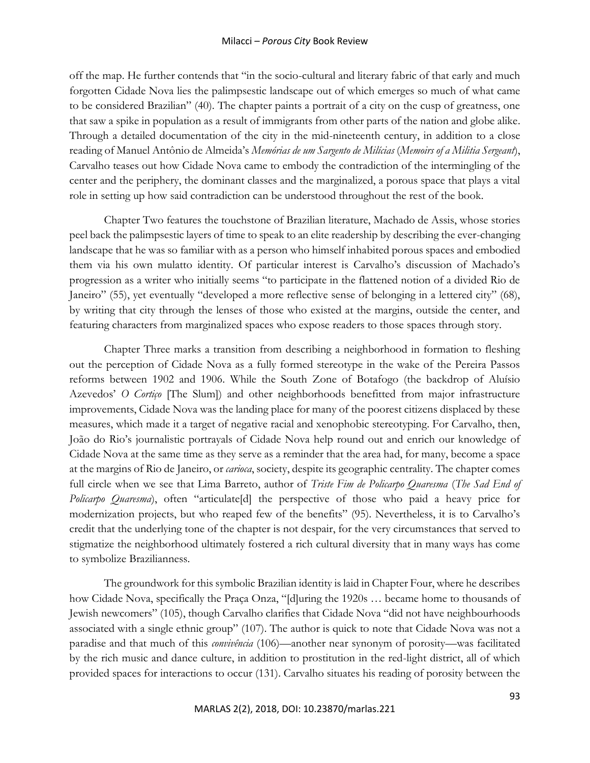## Milacci – *Porous City* Book Review

off the map. He further contends that "in the socio-cultural and literary fabric of that early and much forgotten Cidade Nova lies the palimpsestic landscape out of which emerges so much of what came to be considered Brazilian" (40). The chapter paints a portrait of a city on the cusp of greatness, one that saw a spike in population as a result of immigrants from other parts of the nation and globe alike. Through a detailed documentation of the city in the mid-nineteenth century, in addition to a close reading of Manuel Antônio de Almeida's *Memórias de um Sargento de Milícias* (*Memoirs of a Militia Sergeant*), Carvalho teases out how Cidade Nova came to embody the contradiction of the intermingling of the center and the periphery, the dominant classes and the marginalized, a porous space that plays a vital role in setting up how said contradiction can be understood throughout the rest of the book.

Chapter Two features the touchstone of Brazilian literature, Machado de Assis, whose stories peel back the palimpsestic layers of time to speak to an elite readership by describing the ever-changing landscape that he was so familiar with as a person who himself inhabited porous spaces and embodied them via his own mulatto identity. Of particular interest is Carvalho's discussion of Machado's progression as a writer who initially seems "to participate in the flattened notion of a divided Rio de Janeiro" (55), yet eventually "developed a more reflective sense of belonging in a lettered city" (68), by writing that city through the lenses of those who existed at the margins, outside the center, and featuring characters from marginalized spaces who expose readers to those spaces through story.

Chapter Three marks a transition from describing a neighborhood in formation to fleshing out the perception of Cidade Nova as a fully formed stereotype in the wake of the Pereira Passos reforms between 1902 and 1906. While the South Zone of Botafogo (the backdrop of Aluísio Azevedos' *O Cortiço* [The Slum]) and other neighborhoods benefitted from major infrastructure improvements, Cidade Nova was the landing place for many of the poorest citizens displaced by these measures, which made it a target of negative racial and xenophobic stereotyping. For Carvalho, then, João do Rio's journalistic portrayals of Cidade Nova help round out and enrich our knowledge of Cidade Nova at the same time as they serve as a reminder that the area had, for many, become a space at the margins of Rio de Janeiro, or *carioca*, society, despite its geographic centrality. The chapter comes full circle when we see that Lima Barreto, author of *Triste Fim de Policarpo Quaresma* (*The Sad End of Policarpo Quaresma*), often "articulate[d] the perspective of those who paid a heavy price for modernization projects, but who reaped few of the benefits" (95). Nevertheless, it is to Carvalho's credit that the underlying tone of the chapter is not despair, for the very circumstances that served to stigmatize the neighborhood ultimately fostered a rich cultural diversity that in many ways has come to symbolize Brazilianness.

The groundwork for this symbolic Brazilian identity is laid in Chapter Four, where he describes how Cidade Nova, specifically the Praça Onza, "[d]uring the 1920s … became home to thousands of Jewish newcomers" (105), though Carvalho clarifies that Cidade Nova "did not have neighbourhoods associated with a single ethnic group" (107). The author is quick to note that Cidade Nova was not a paradise and that much of this *convivência* (106)—another near synonym of porosity—was facilitated by the rich music and dance culture, in addition to prostitution in the red-light district, all of which provided spaces for interactions to occur (131). Carvalho situates his reading of porosity between the